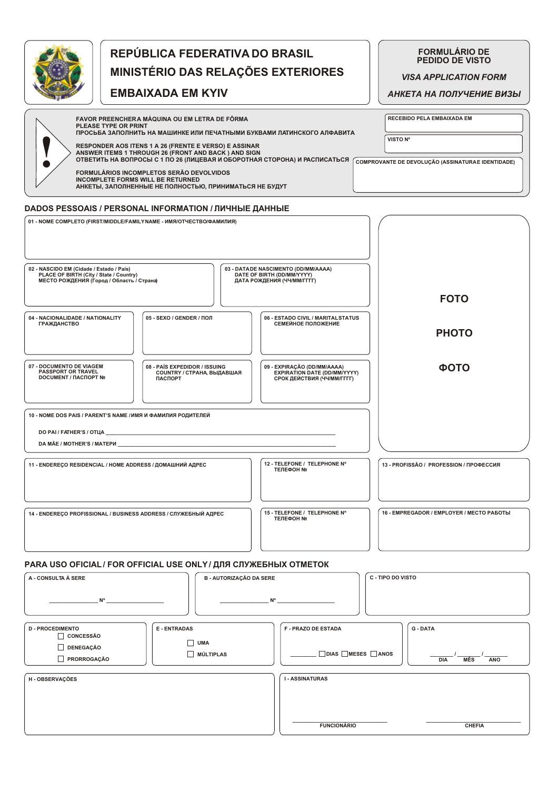

## REPÚBLICA FEDERATIVA DO BRASIL MINISTÉRIO DAS RELAÇÕES EXTERIORES

**EMBAIXADA EM KYIV** 

**FORMULÁRIO DE<br>PEDIDO DE VISTO** 

**VISA APPLICATION FORM** 

АНКЕТА НА ПОЛУЧЕНИЕ ВИЗЫ

| FAVOR PREENCHERA MÁQUINA OU EM LETRA DE FÔRMA<br>PLEASE TYPE OR PRINT<br>ПРОСЬБА ЗАПОЛНИТЬ НА МАШИНКЕ ИЛИ ПЕЧАТНЫМИ БУКВАМИ ЛАТИНСКОГО АЛФАВИТА | <b>RECEBIDO PELA EMBAIXADA EM</b>                 |
|-------------------------------------------------------------------------------------------------------------------------------------------------|---------------------------------------------------|
| <b>RESPONDER AOS ITENS 1 A 26 (FRENTE E VERSO) E ASSINAR</b><br>ANSWER ITEMS 1 THROUGH 26 (FRONT AND BACK) AND SIGN                             | VISTO Nº                                          |
| ОТВЕТИТЬ НА ВОПРОСЫ С 1 ПО 26 (ЛИЦЕВАЯ И ОБОРОТНАЯ СТОРОНА) И РАСПИСАТЬСЯ (                                                                     | COMPROVANTE DE DEVOLUÇÃO (ASSINATURAE IDENTIDADE) |
| FORMULÁRIOS INCOMPLETOS SERÃO DEVOLVIDOS<br>INCOMPLETE FORMS WILL BE RETURNED<br>АНКЕТЫ, ЗАПОЛНЕННЫЕ НЕ ПОЛНОСТЬЮ, ПРИНИМАТЬСЯ НЕ БУДУТ         |                                                   |

## **DADOS PESSOAIS / PERSONAL INFORMATION / ЛИЧНЫЕ ДАННЫЕ**

| 01 - NOME COMPLETO (FIRST/MIDDLE/FAMILY NAME - ИМЯ/ОТЧЕСТВО/ФАМИЛИЯ)<br>02 - NASCIDO EM (Cidade / Estado / País)<br>PLACE OF BIRTH (City / State / Country)<br>МЕСТО РОЖДЕНИЯ (Город / Область / Страна) | 03 - DATADE NASCIMENTO (DD/MM/AAAA)<br>DATE OF BIRTH (DD/MM/YYYY)<br>ДАТА РОЖДЕНИЯ (ЧЧ/ММ/ГГГГ) |                                           |
|----------------------------------------------------------------------------------------------------------------------------------------------------------------------------------------------------------|-------------------------------------------------------------------------------------------------|-------------------------------------------|
|                                                                                                                                                                                                          |                                                                                                 | <b>FOTO</b>                               |
| 04 - NACIONALIDADE / NATIONALITY<br>05 - SEXO / GENDER / ПОЛ<br><b>ГРАЖДАНСТВО</b>                                                                                                                       | 06 - ESTADO CIVIL / MARITAL STATUS<br>СЕМЕЙНОЕ ПОЛОЖЕНИЕ                                        | <b>PHOTO</b>                              |
| 07 - DOCUMENTO DE VIAGEM<br>08 - PAÍS EXPEDIDOR / ISSUING<br><b>PASSPORT OR TRAVEL</b><br><b>COUNTRY / СТРАНА, ВЫДАВШАЯ</b><br><b>DOCUMENT / ΠΑCΠOPT Nº</b><br><b>ПАСПОРТ</b>                            | 09 - EXPIRAÇÃO (DD/MM/AAAA)<br>EXPIRATION DATE (DD/MM/YYYY)<br>СРОК ДЕЙСТВИЯ (ЧЧ/ММ/ГГГГ)       | <b>ФОТО</b>                               |
| 10 - NOME DOS PAIS / PARENT'S NAME / ИМЯ И ФАМИЛИЯ РОДИТЕЛЕЙ                                                                                                                                             |                                                                                                 |                                           |
| 11 - ENDEREÇO RESIDENCIAL / HOME ADDRESS / ДОМАШНИЙ АДРЕС                                                                                                                                                | 12 - TELEFONE / TELEPHONE Nº<br><b>ΤΕΠΕΦΟΗ ΝΩ</b>                                               | 13 - PROFISSÃO / PROFESSION / ПРОФЕССИЯ   |
| 14 - ENDERECO PROFISSIONAL / BUSINESS ADDRESS / СЛУЖЕБНЫЙ АДРЕС                                                                                                                                          | 15 - TELEFONE / TELEPHONE Nº<br><b>ΤΕΠΕΦΟΗ ΝΩ</b>                                               | 16 - EMPREGADOR / EMPLOYER / MECTO PA5OTЫ |

## PARA USO OFICIAL / FOR OFFICIAL USE ONLY / ДЛЯ СЛУЖЕБНЫХ ОТМЕТОК

| A - CONSULTA À SERE                                 | <b>B - AUTORIZAÇÃO DA SERE</b>      |                          | C - TIPO DO VISTO               |  |
|-----------------------------------------------------|-------------------------------------|--------------------------|---------------------------------|--|
| $N^{\circ}$<br>$N^{\circ}$                          |                                     |                          |                                 |  |
| <b>D - PROCEDIMENTO</b><br>CONCESSÃO                | <b>E-ENTRADAS</b>                   | <b>F-PRAZO DE ESTADA</b> | G - DATA                        |  |
| $\Box$<br><b>DENEGAÇÃO</b><br>$\Box$<br>PRORROGAÇÃO | г<br><b>UMA</b><br>$\Box$ MÚLTIPLAS | □ DIAS □ MESES □ ANOS    | <b>MÊS</b><br><b>DIA</b><br>ANO |  |
| H - OBSERVAÇÕES                                     |                                     | <b>I-ASSINATURAS</b>     |                                 |  |
|                                                     |                                     |                          |                                 |  |
|                                                     |                                     | <b>FUNCIONÁRIO</b>       | <b>CHEFIA</b>                   |  |